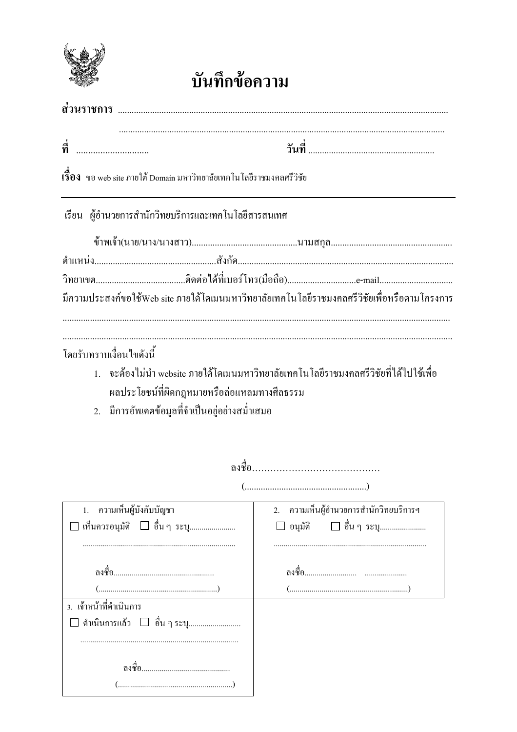

## บันทึกข้อความ

| ที่<br>                                                                                                                   |                                                                                              |  |
|---------------------------------------------------------------------------------------------------------------------------|----------------------------------------------------------------------------------------------|--|
| เรื่ <b>อง</b> ขอ web site ภายใต้ Domain มหาวิทยาลัยเทคโนโลยีราชมงคลศรีวิชัย                                              |                                                                                              |  |
| เรียน ผู้อำนวยการสำนักวิทยบริการและเทคโนโลยีสารสนเทศ                                                                      |                                                                                              |  |
|                                                                                                                           |                                                                                              |  |
|                                                                                                                           |                                                                                              |  |
|                                                                                                                           |                                                                                              |  |
|                                                                                                                           | มีความประสงค์ขอใช้Web site ภายใต้โดเมนมหาวิทยาลัยเทคโนโลยีราชมงคลศรีวิชัยเพื่อหรือตามโครงการ |  |
| โดยรับทราบเงื่อนไขดังนี้<br>ผลประโยชน์ที่ผิดกฎหมายหรือล่อแหลมทางศีลธรรม<br>2. มีการอัพเคตข้อมูลที่จำเป็นอยู่อย่างสม่ำเสมอ | 1.    จะต้องไม่นำ website ภายใต้โดเมนมหาวิทยาลัยเทคโนโลยีราชมงคลศรีวิชัยที่ได้ไปใช้เพื่อ     |  |
|                                                                                                                           |                                                                                              |  |
| ความเห็นผู้บังคับบัญชา<br>1.                                                                                              | ความเห็นผู้อำนวยการสำนักวิทยบริการฯ<br>2.                                                    |  |
| □ เห็นควรอนุมัติ □ อื่น ๆ ระบุ                                                                                            | □ อื่น ๆ ระบุ<br>อนุมัติ                                                                     |  |
| (                                                                                                                         |                                                                                              |  |
| 3. เจ้าหน้าที่ดำเนินการ<br>ดำเนินการแล้ว □ อื่น ๆ ระบุ                                                                    |                                                                                              |  |
|                                                                                                                           |                                                                                              |  |
|                                                                                                                           |                                                                                              |  |
|                                                                                                                           |                                                                                              |  |